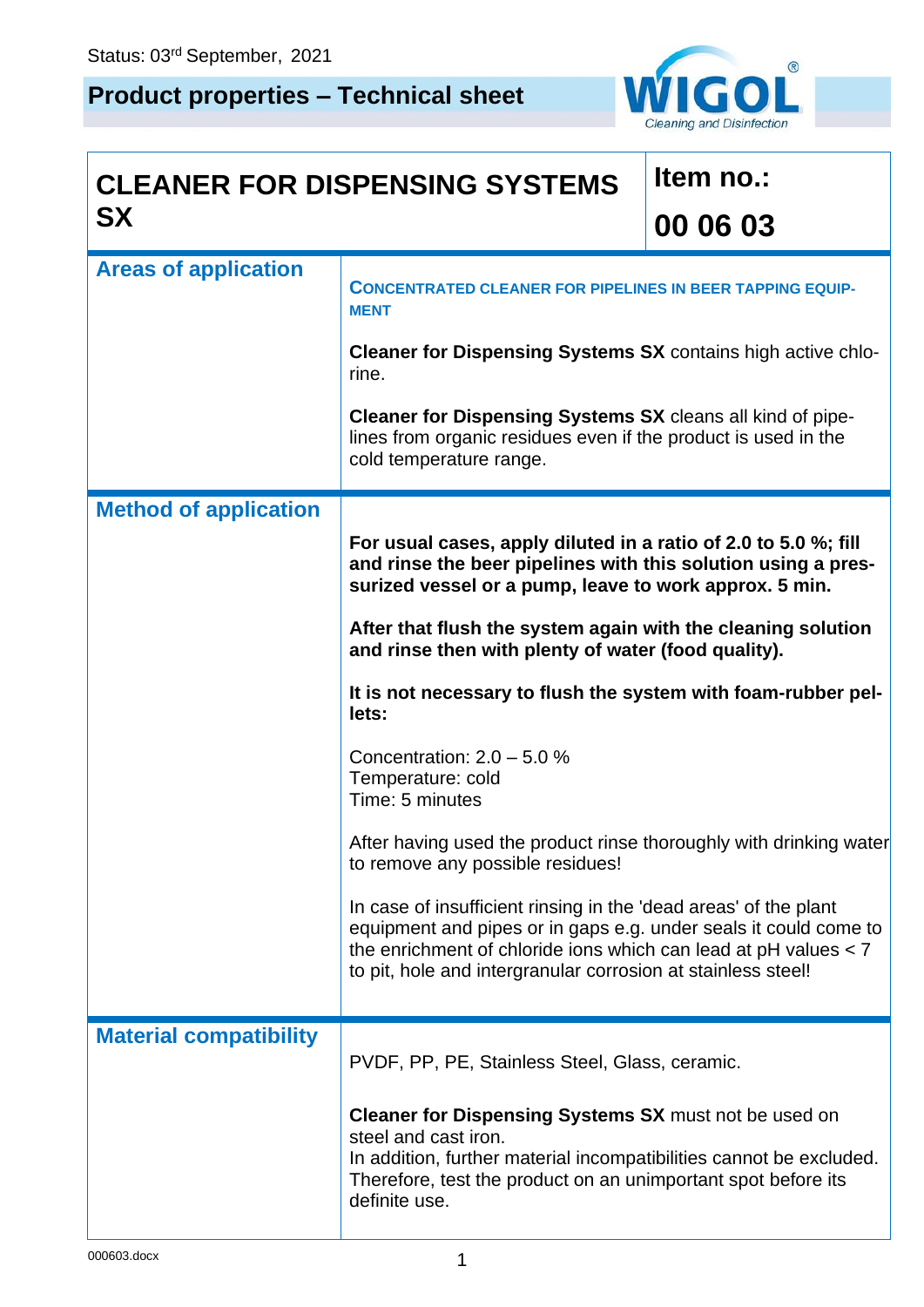## **Product properties – Technical sheet**



## **CLEANER FOR DISPENSING SYSTEMS SX**

## **Item no.: 00 06 03**

| <b>Areas of application</b>   | <b>CONCENTRATED CLEANER FOR PIPELINES IN BEER TAPPING EQUIP-</b><br><b>MENT</b>                                                                                                                                                                                             |
|-------------------------------|-----------------------------------------------------------------------------------------------------------------------------------------------------------------------------------------------------------------------------------------------------------------------------|
|                               | Cleaner for Dispensing Systems SX contains high active chlo-<br>rine.                                                                                                                                                                                                       |
|                               | <b>Cleaner for Dispensing Systems SX</b> cleans all kind of pipe-<br>lines from organic residues even if the product is used in the<br>cold temperature range.                                                                                                              |
| <b>Method of application</b>  |                                                                                                                                                                                                                                                                             |
|                               | For usual cases, apply diluted in a ratio of 2.0 to 5.0 %; fill<br>and rinse the beer pipelines with this solution using a pres-<br>surized vessel or a pump, leave to work approx. 5 min.                                                                                  |
|                               | After that flush the system again with the cleaning solution<br>and rinse then with plenty of water (food quality).                                                                                                                                                         |
|                               | It is not necessary to flush the system with foam-rubber pel-<br>lets:                                                                                                                                                                                                      |
|                               | Concentration: $2.0 - 5.0 %$<br>Temperature: cold<br>Time: 5 minutes                                                                                                                                                                                                        |
|                               | After having used the product rinse thoroughly with drinking water<br>to remove any possible residues!                                                                                                                                                                      |
|                               | In case of insufficient rinsing in the 'dead areas' of the plant<br>equipment and pipes or in gaps e.g. under seals it could come to<br>the enrichment of chloride ions which can lead at $pH$ values $< 7$<br>to pit, hole and intergranular corrosion at stainless steel! |
| <b>Material compatibility</b> | PVDF, PP, PE, Stainless Steel, Glass, ceramic.                                                                                                                                                                                                                              |
|                               | Cleaner for Dispensing Systems SX must not be used on<br>steel and cast iron.<br>In addition, further material incompatibilities cannot be excluded.<br>Therefore, test the product on an unimportant spot before its<br>definite use.                                      |